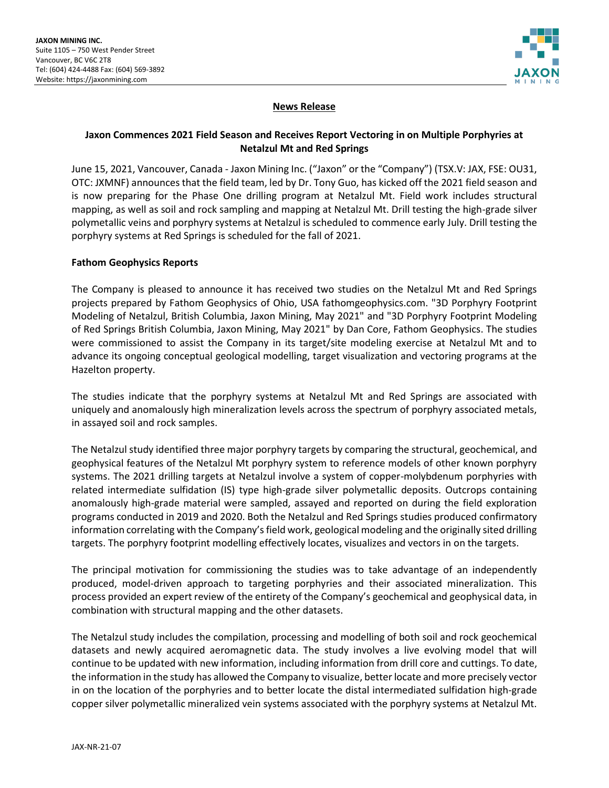

# **News Release**

# **Jaxon Commences 2021 Field Season and Receives Report Vectoring in on Multiple Porphyries at Netalzul Mt and Red Springs**

June 15, 2021, Vancouver, Canada - Jaxon Mining Inc. ("Jaxon" or the "Company") (TSX.V: JAX, FSE: OU31, OTC: JXMNF) announces that the field team, led by Dr. Tony Guo, has kicked off the 2021 field season and is now preparing for the Phase One drilling program at Netalzul Mt. Field work includes structural mapping, as well as soil and rock sampling and mapping at Netalzul Mt. Drill testing the high-grade silver polymetallic veins and porphyry systems at Netalzul is scheduled to commence early July. Drill testing the porphyry systems at Red Springs is scheduled for the fall of 2021.

### **Fathom Geophysics Reports**

The Company is pleased to announce it has received two studies on the Netalzul Mt and Red Springs projects prepared by Fathom Geophysics of Ohio, USA fathomgeophysics.com. "3D Porphyry Footprint Modeling of Netalzul, British Columbia, Jaxon Mining, May 2021" and "3D Porphyry Footprint Modeling of Red Springs British Columbia, Jaxon Mining, May 2021" by Dan Core, Fathom Geophysics. The studies were commissioned to assist the Company in its target/site modeling exercise at Netalzul Mt and to advance its ongoing conceptual geological modelling, target visualization and vectoring programs at the Hazelton property.

The studies indicate that the porphyry systems at Netalzul Mt and Red Springs are associated with uniquely and anomalously high mineralization levels across the spectrum of porphyry associated metals, in assayed soil and rock samples.

The Netalzul study identified three major porphyry targets by comparing the structural, geochemical, and geophysical features of the Netalzul Mt porphyry system to reference models of other known porphyry systems. The 2021 drilling targets at Netalzul involve a system of copper-molybdenum porphyries with related intermediate sulfidation (IS) type high-grade silver polymetallic deposits. Outcrops containing anomalously high-grade material were sampled, assayed and reported on during the field exploration programs conducted in 2019 and 2020. Both the Netalzul and Red Springs studies produced confirmatory information correlating with the Company's field work, geological modeling and the originally sited drilling targets. The porphyry footprint modelling effectively locates, visualizes and vectors in on the targets.

The principal motivation for commissioning the studies was to take advantage of an independently produced, model-driven approach to targeting porphyries and their associated mineralization. This process provided an expert review of the entirety of the Company's geochemical and geophysical data, in combination with structural mapping and the other datasets.

The Netalzul study includes the compilation, processing and modelling of both soil and rock geochemical datasets and newly acquired aeromagnetic data. The study involves a live evolving model that will continue to be updated with new information, including information from drill core and cuttings. To date, the information in the study has allowed the Company to visualize, better locate and more precisely vector in on the location of the porphyries and to better locate the distal intermediated sulfidation high-grade copper silver polymetallic mineralized vein systems associated with the porphyry systems at Netalzul Mt.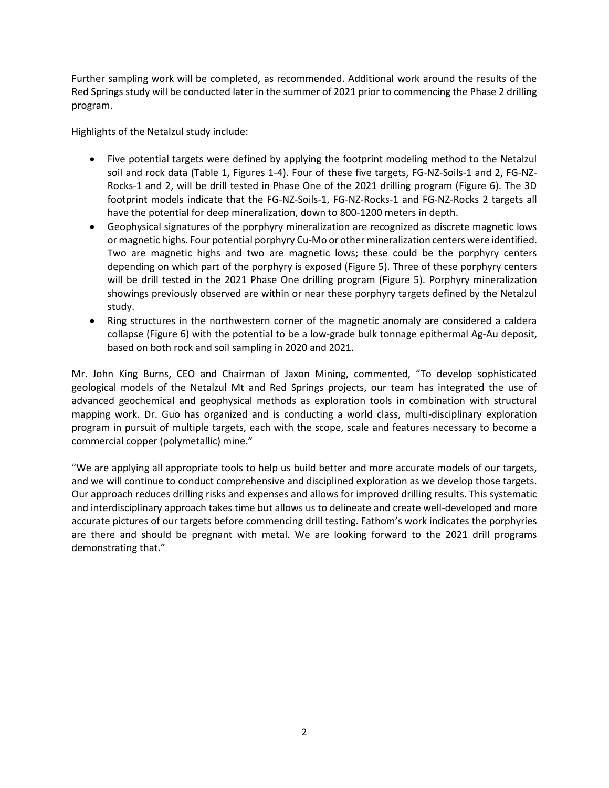Further sampling work will be completed, as recommended. Additional work around the results of the Red Springs study will be conducted later in the summer of 2021 prior to commencing the Phase 2 drilling program.

Highlights of the Netalzul study include:

- Five potential targets were defined by applying the footprint modeling method to the Netalzul soil and rock data (Table 1, Figures 1-4). Four of these five targets, FG-NZ-Soils-1 and 2, FG-NZ-Rocks-1 and 2, will be drill tested in Phase One of the 2021 drilling program (Figure 6). The 3D footprint models indicate that the FG-NZ-Soils-1, FG-NZ-Rocks-1 and FG-NZ-Rocks 2 targets all have the potential for deep mineralization, down to 800-1200 meters in depth.
- Geophysical signatures of the porphyry mineralization are recognized as discrete magnetic lows or magnetic highs. Four potential porphyry Cu-Mo or other mineralization centers were identified. Two are magnetic highs and two are magnetic lows; these could be the porphyry centers depending on which part of the porphyry is exposed (Figure 5). Three of these porphyry centers will be drill tested in the 2021 Phase One drilling program (Figure 5). Porphyry mineralization showings previously observed are within or near these porphyry targets defined by the Netalzul study.
- Ring structures in the northwestern corner of the magnetic anomaly are considered a caldera collapse (Figure 6) with the potential to be a low-grade bulk tonnage epithermal Ag-Au deposit, based on both rock and soil sampling in 2020 and 2021.

Mr. John King Burns, CEO and Chairman of Jaxon Mining, commented, "To develop sophisticated geological models of the Netalzul Mt and Red Springs projects, our team has integrated the use of advanced geochemical and geophysical methods as exploration tools in combination with structural mapping work. Dr. Guo has organized and is conducting a world class, multi-disciplinary exploration program in pursuit of multiple targets, each with the scope, scale and features necessary to become a commercial copper (polymetallic) mine."

"We are applying all appropriate tools to help us build better and more accurate models of our targets, and we will continue to conduct comprehensive and disciplined exploration as we develop those targets. Our approach reduces drilling risks and expenses and allows for improved drilling results. This systematic and interdisciplinary approach takes time but allows us to delineate and create well-developed and more accurate pictures of our targets before commencing drill testing. Fathom's work indicates the porphyries are there and should be pregnant with metal. We are looking forward to the 2021 drill programs demonstrating that."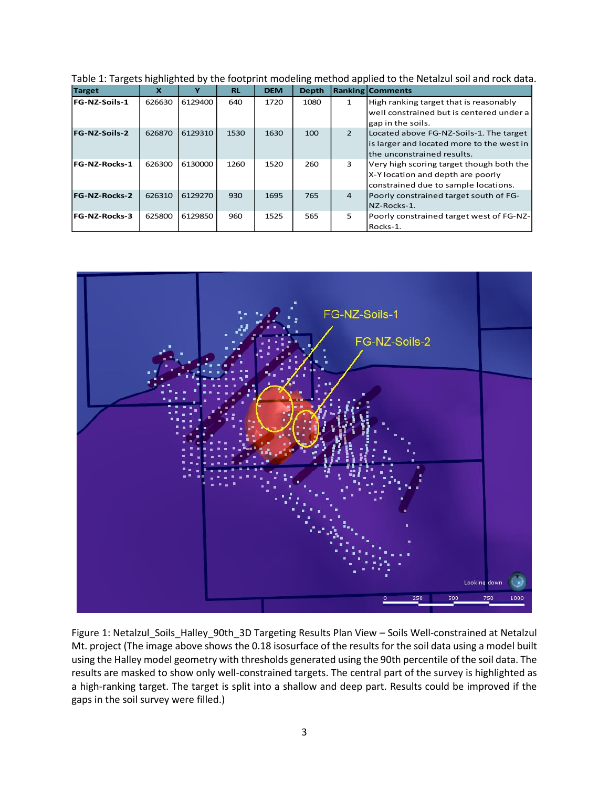| <b>Target</b>        | x      |         | <b>RL</b> | <b>DEM</b> | <b>Depth</b> |                | <b>Ranking Comments</b>                                                                                               |
|----------------------|--------|---------|-----------|------------|--------------|----------------|-----------------------------------------------------------------------------------------------------------------------|
| <b>FG-NZ-Soils-1</b> | 626630 | 6129400 | 640       | 1720       | 1080         |                | High ranking target that is reasonably<br>well constrained but is centered under a<br>gap in the soils.               |
| <b>FG-NZ-Soils-2</b> | 626870 | 6129310 | 1530      | 1630       | 100          | $\mathcal{P}$  | Located above FG-NZ-Soils-1. The target<br>is larger and located more to the west in<br>Ithe unconstrained results.   |
| <b>FG-NZ-Rocks-1</b> | 626300 | 6130000 | 1260      | 1520       | 260          | 3              | Very high scoring target though both the<br>X-Y location and depth are poorly<br>constrained due to sample locations. |
| <b>FG-NZ-Rocks-2</b> | 626310 | 6129270 | 930       | 1695       | 765          | $\overline{4}$ | Poorly constrained target south of FG-<br>NZ-Rocks-1.                                                                 |
| <b>FG-NZ-Rocks-3</b> | 625800 | 6129850 | 960       | 1525       | 565          | 5              | Poorly constrained target west of FG-NZ-<br>Rocks-1.                                                                  |

Table 1: Targets highlighted by the footprint modeling method applied to the Netalzul soil and rock data.



Figure 1: Netalzul\_Soils\_Halley\_90th\_3D Targeting Results Plan View – Soils Well-constrained at Netalzul Mt. project (The image above shows the 0.18 isosurface of the results for the soil data using a model built using the Halley model geometry with thresholds generated using the 90th percentile of the soil data. The results are masked to show only well-constrained targets. The central part of the survey is highlighted as a high-ranking target. The target is split into a shallow and deep part. Results could be improved if the gaps in the soil survey were filled.)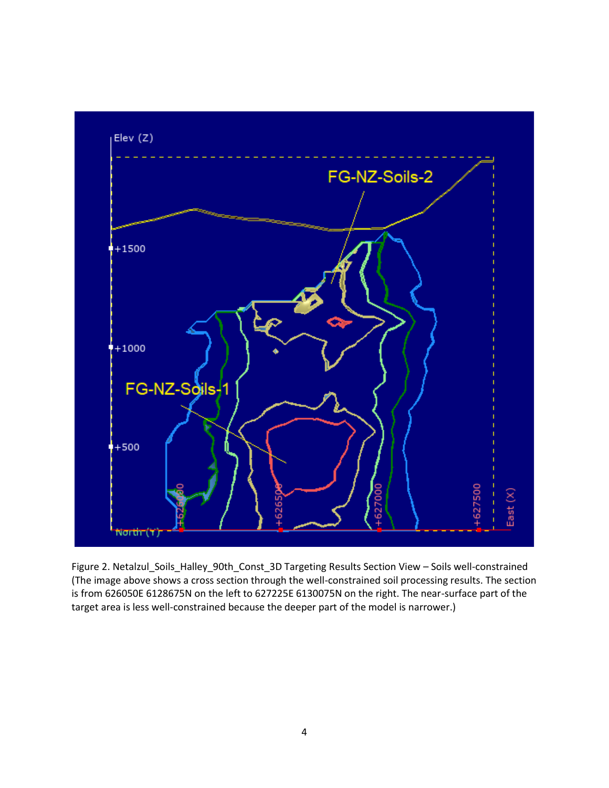

Figure 2. Netalzul\_Soils\_Halley\_90th\_Const\_3D Targeting Results Section View – Soils well-constrained (The image above shows a cross section through the well-constrained soil processing results. The section is from 626050E 6128675N on the left to 627225E 6130075N on the right. The near-surface part of the target area is less well-constrained because the deeper part of the model is narrower.)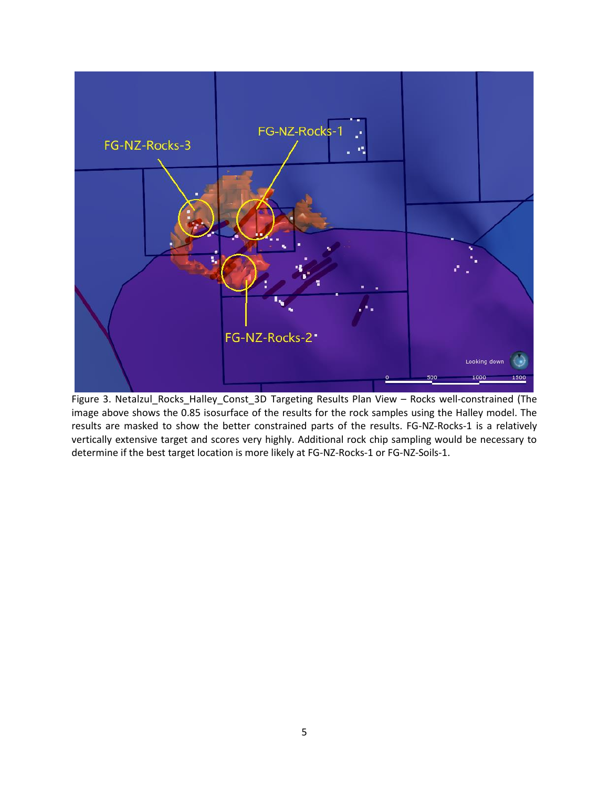

Figure 3. Netalzul\_Rocks\_Halley\_Const\_3D Targeting Results Plan View – Rocks well-constrained (The image above shows the 0.85 isosurface of the results for the rock samples using the Halley model. The results are masked to show the better constrained parts of the results. FG-NZ-Rocks-1 is a relatively vertically extensive target and scores very highly. Additional rock chip sampling would be necessary to determine if the best target location is more likely at FG-NZ-Rocks-1 or FG-NZ-Soils-1.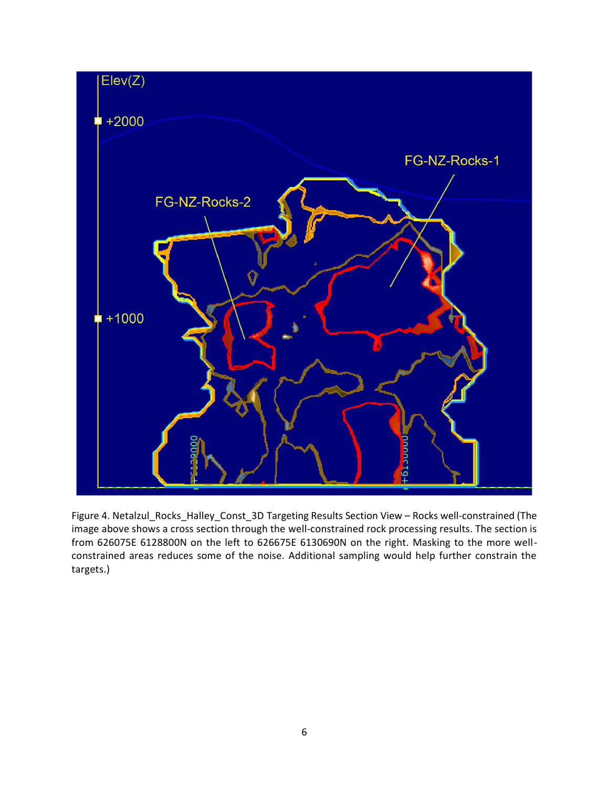

Figure 4. Netalzul\_Rocks\_Halley\_Const\_3D Targeting Results Section View – Rocks well-constrained (The image above shows a cross section through the well-constrained rock processing results. The section is from 626075E 6128800N on the left to 626675E 6130690N on the right. Masking to the more wellconstrained areas reduces some of the noise. Additional sampling would help further constrain the targets.)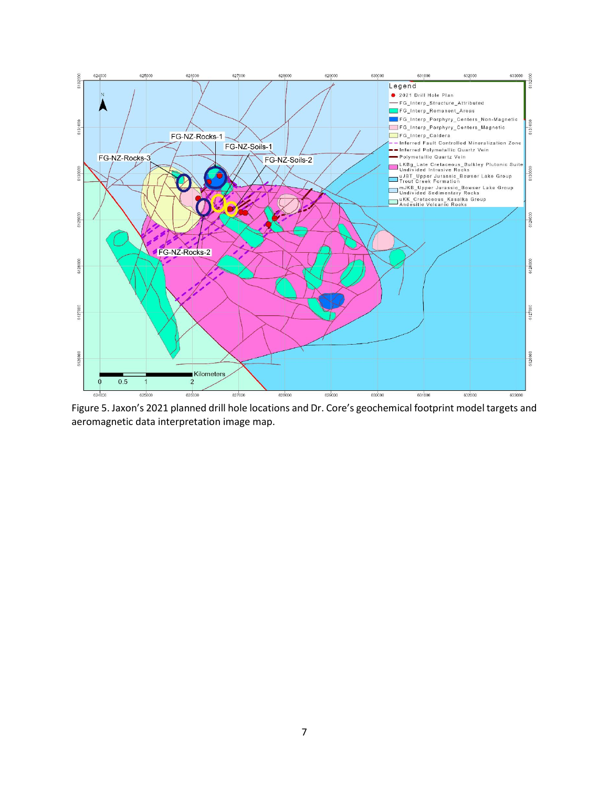

Figure 5. Jaxon's 2021 planned drill hole locations and Dr. Core's geochemical footprint model targets and aeromagnetic data interpretation image map.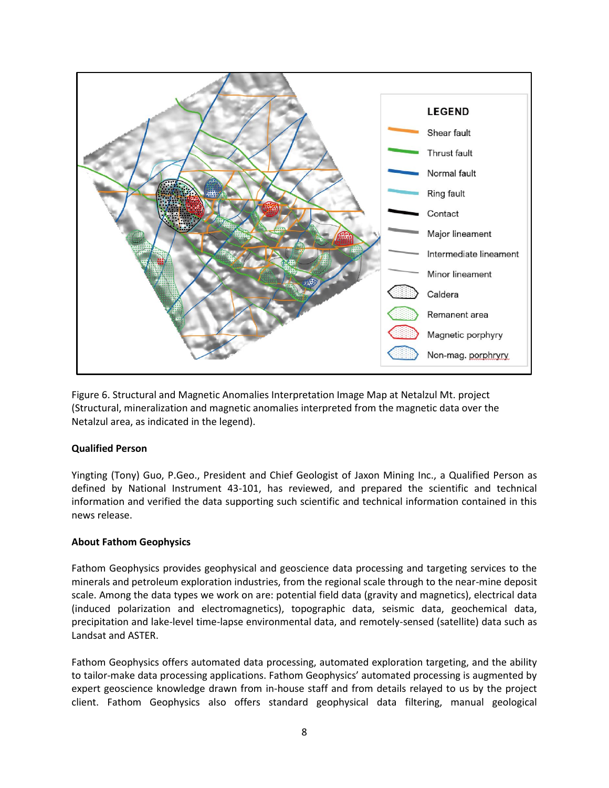

Figure 6. Structural and Magnetic Anomalies Interpretation Image Map at Netalzul Mt. project (Structural, mineralization and magnetic anomalies interpreted from the magnetic data over the Netalzul area, as indicated in the legend).

### **Qualified Person**

Yingting (Tony) Guo, P.Geo., President and Chief Geologist of Jaxon Mining Inc., a Qualified Person as defined by National Instrument 43-101, has reviewed, and prepared the scientific and technical information and verified the data supporting such scientific and technical information contained in this news release.

### **About Fathom Geophysics**

Fathom Geophysics provides geophysical and geoscience data processing and targeting services to the minerals and petroleum exploration industries, from the regional scale through to the near-mine deposit scale. Among the data types we work on are: potential field data (gravity and magnetics), electrical data (induced polarization and electromagnetics), topographic data, seismic data, geochemical data, precipitation and lake-level time-lapse environmental data, and remotely-sensed (satellite) data such as Landsat and ASTER.

Fathom Geophysics offers automated data processing, automated exploration targeting, and the ability to tailor-make data processing applications. Fathom Geophysics' automated processing is augmented by expert geoscience knowledge drawn from in-house staff and from details relayed to us by the project client. Fathom Geophysics also offers standard geophysical data filtering, manual geological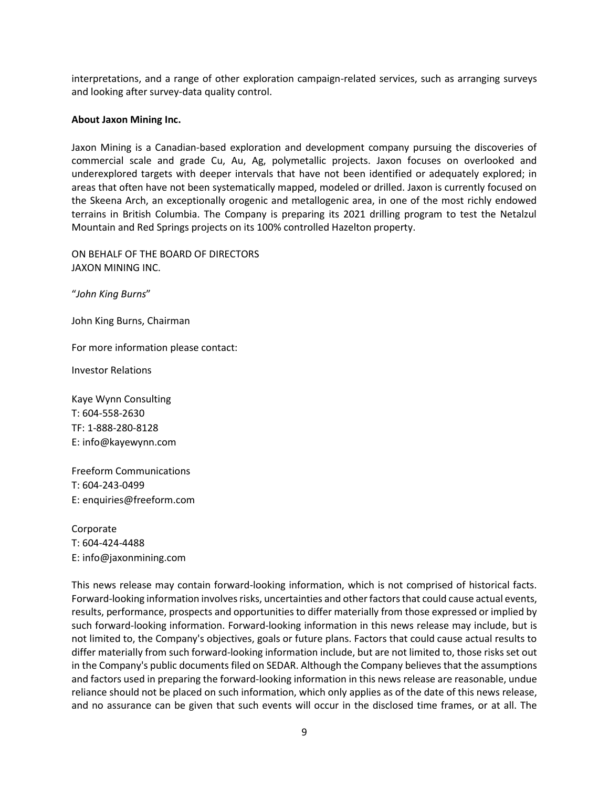interpretations, and a range of other exploration campaign-related services, such as arranging surveys and looking after survey-data quality control.

#### **About Jaxon Mining Inc.**

Jaxon Mining is a Canadian-based exploration and development company pursuing the discoveries of commercial scale and grade Cu, Au, Ag, polymetallic projects. Jaxon focuses on overlooked and underexplored targets with deeper intervals that have not been identified or adequately explored; in areas that often have not been systematically mapped, modeled or drilled. Jaxon is currently focused on the Skeena Arch, an exceptionally orogenic and metallogenic area, in one of the most richly endowed terrains in British Columbia. The Company is preparing its 2021 drilling program to test the Netalzul Mountain and Red Springs projects on its 100% controlled Hazelton property.

ON BEHALF OF THE BOARD OF DIRECTORS JAXON MINING INC.

"*John King Burns*"

John King Burns, Chairman

For more information please contact:

Investor Relations

Kaye Wynn Consulting T: 604-558-2630 TF: 1-888-280-8128 E: info@kayewynn.com

Freeform Communications T: 604-243-0499 E: enquiries@freeform.com

Corporate T: 604-424-4488 E: info@jaxonmining.com

This news release may contain forward-looking information, which is not comprised of historical facts. Forward-looking information involves risks, uncertainties and other factors that could cause actual events, results, performance, prospects and opportunities to differ materially from those expressed or implied by such forward-looking information. Forward-looking information in this news release may include, but is not limited to, the Company's objectives, goals or future plans. Factors that could cause actual results to differ materially from such forward-looking information include, but are not limited to, those risks set out in the Company's public documents filed on SEDAR. Although the Company believes that the assumptions and factors used in preparing the forward-looking information in this news release are reasonable, undue reliance should not be placed on such information, which only applies as of the date of this news release, and no assurance can be given that such events will occur in the disclosed time frames, or at all. The